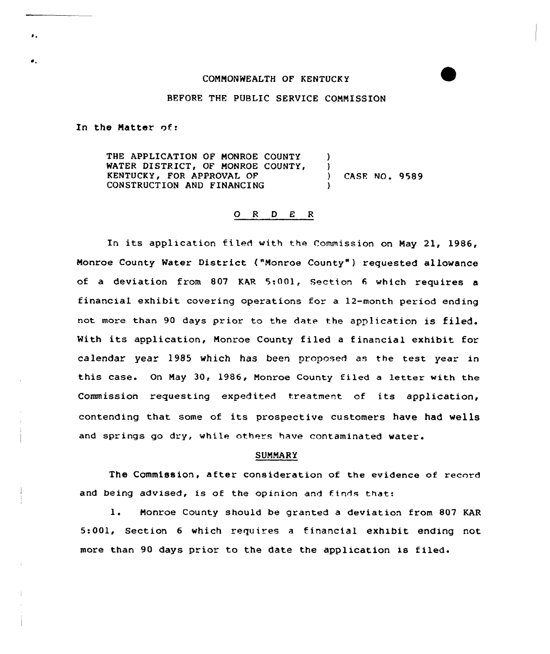## CONNONWEALTH OF KENTUCK Y

## BEFORE THE PUBLIC SERVICE COMMISSION

In the Matter of:

٠.

 $\bullet$ .

THE APPLICATION OF MONROE COUNTY ) WATER DISTRICT, OF MONROE COUNTY, )<br>KENTUCKY, FOR APPROVAL OF () KENTUCKY, FOR APPROVAL OF (ASE NO. 9589) CONSTRUCTION AND FINANCING )

## O R D E R

In its application fi led with the Commission on May 21, 1986, Monroe County Water District ("Monroe County" ) requested allowance of a deviation from 807 KAR 5:001, Section <sup>6</sup> which requires a financial exhibit covering operations for a 12-month period ending not more than 90 days prior to the date the application is filed. With its application, Nonroe County filed <sup>a</sup> financial exhibit for calendar year 1985 which has been proposed as the test. year in this case. On Nay 30, 1986, Monroe County filed a letter with the Commission requesting expedited treatment of its application, contending that some of its prospective customers have had wells and springs go dry, while others have contaminated water.

## SUNNARY

The Commission, after consideration of the evidence of record and being advised, is of the opinion and finds that:

1. Monroe County should be granted <sup>a</sup> deviation from <sup>807</sup> KAR 5:001, Section <sup>6</sup> which requires <sup>a</sup> financial exhibit ending not more than 90 days prior to the date the application is filed.